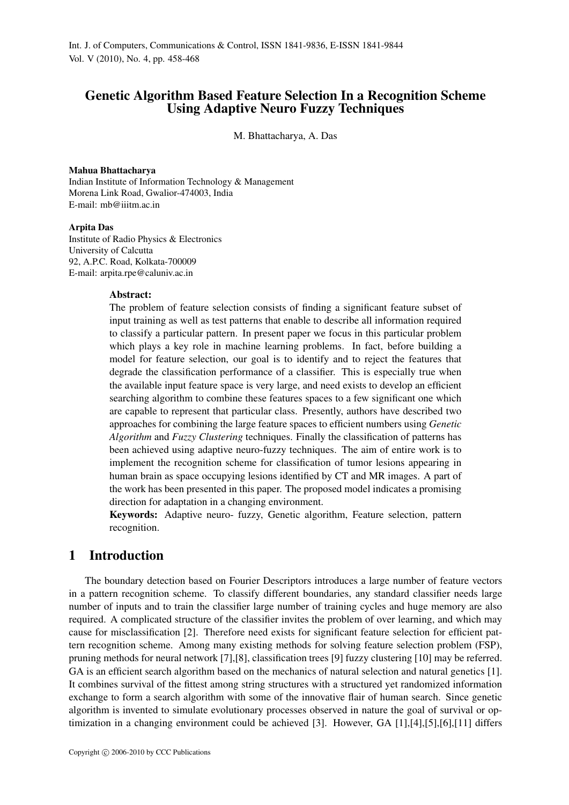# Genetic Algorithm Based Feature Selection In a Recognition Scheme Using Adaptive Neuro Fuzzy Techniques

M. Bhattacharya, A. Das

#### Mahua Bhattacharya

Indian Institute of Information Technology & Management Morena Link Road, Gwalior-474003, India E-mail: mb@iiitm.ac.in

#### Arpita Das

Institute of Radio Physics & Electronics University of Calcutta 92, A.P.C. Road, Kolkata-700009 E-mail: arpita.rpe@caluniv.ac.in

#### Abstract:

The problem of feature selection consists of finding a significant feature subset of input training as well as test patterns that enable to describe all information required to classify a particular pattern. In present paper we focus in this particular problem which plays a key role in machine learning problems. In fact, before building a model for feature selection, our goal is to identify and to reject the features that degrade the classification performance of a classifier. This is especially true when the available input feature space is very large, and need exists to develop an efficient searching algorithm to combine these features spaces to a few significant one which are capable to represent that particular class. Presently, authors have described two approaches for combining the large feature spaces to efficient numbers using *Genetic Algorithm* and *Fuzzy Clustering* techniques. Finally the classification of patterns has been achieved using adaptive neuro-fuzzy techniques. The aim of entire work is to implement the recognition scheme for classification of tumor lesions appearing in human brain as space occupying lesions identified by CT and MR images. A part of the work has been presented in this paper. The proposed model indicates a promising direction for adaptation in a changing environment.

Keywords: Adaptive neuro- fuzzy, Genetic algorithm, Feature selection, pattern recognition.

## 1 Introduction

The boundary detection based on Fourier Descriptors introduces a large number of feature vectors in a pattern recognition scheme. To classify different boundaries, any standard classifier needs large number of inputs and to train the classifier large number of training cycles and huge memory are also required. A complicated structure of the classifier invites the problem of over learning, and which may cause for misclassification [2]. Therefore need exists for significant feature selection for efficient pattern recognition scheme. Among many existing methods for solving feature selection problem (FSP), pruning methods for neural network [7],[8], classification trees [9] fuzzy clustering [10] may be referred. GA is an efficient search algorithm based on the mechanics of natural selection and natural genetics [1]. It combines survival of the fittest among string structures with a structured yet randomized information exchange to form a search algorithm with some of the innovative flair of human search. Since genetic algorithm is invented to simulate evolutionary processes observed in nature the goal of survival or optimization in a changing environment could be achieved [3]. However, GA [1],[4],[5],[6],[11] differs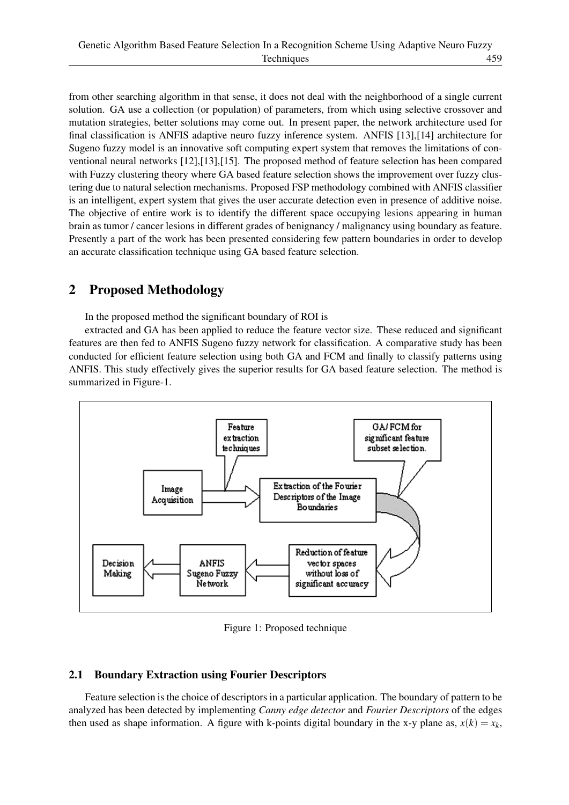from other searching algorithm in that sense, it does not deal with the neighborhood of a single current solution. GA use a collection (or population) of parameters, from which using selective crossover and mutation strategies, better solutions may come out. In present paper, the network architecture used for final classification is ANFIS adaptive neuro fuzzy inference system. ANFIS [13],[14] architecture for Sugeno fuzzy model is an innovative soft computing expert system that removes the limitations of conventional neural networks [12],[13],[15]. The proposed method of feature selection has been compared with Fuzzy clustering theory where GA based feature selection shows the improvement over fuzzy clustering due to natural selection mechanisms. Proposed FSP methodology combined with ANFIS classifier is an intelligent, expert system that gives the user accurate detection even in presence of additive noise. The objective of entire work is to identify the different space occupying lesions appearing in human brain as tumor / cancer lesions in different grades of benignancy / malignancy using boundary as feature. Presently a part of the work has been presented considering few pattern boundaries in order to develop an accurate classification technique using GA based feature selection.

# 2 Proposed Methodology

In the proposed method the significant boundary of ROI is

extracted and GA has been applied to reduce the feature vector size. These reduced and significant features are then fed to ANFIS Sugeno fuzzy network for classification. A comparative study has been conducted for efficient feature selection using both GA and FCM and finally to classify patterns using ANFIS. This study effectively gives the superior results for GA based feature selection. The method is summarized in Figure-1.



Figure 1: Proposed technique

## 2.1 Boundary Extraction using Fourier Descriptors

Feature selection is the choice of descriptors in a particular application. The boundary of pattern to be analyzed has been detected by implementing *Canny edge detector* and *Fourier Descriptors* of the edges then used as shape information. A figure with k-points digital boundary in the x-y plane as,  $x(k) = x_k$ ,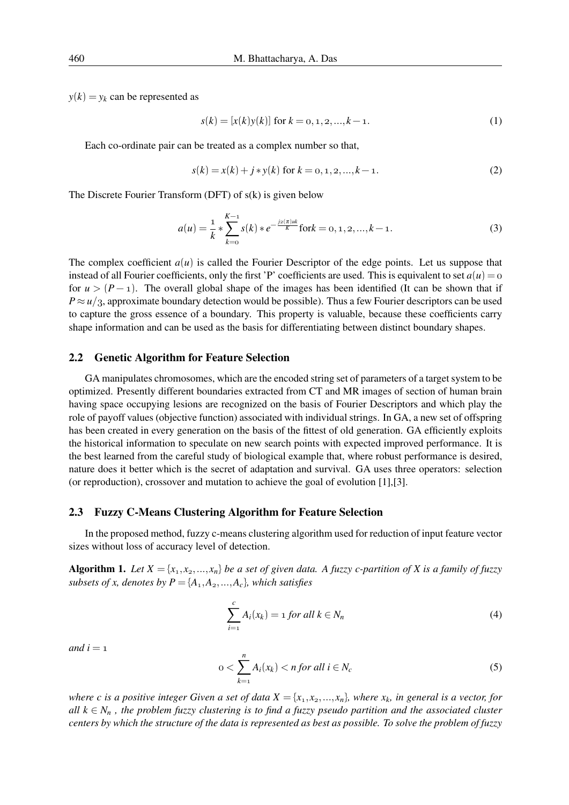$y(k) = y_k$  can be represented as

$$
s(k) = [x(k)y(k)] \text{ for } k = 0, 1, 2, \dots, k-1.
$$
 (1)

Each co-ordinate pair can be treated as a complex number so that,

$$
s(k) = x(k) + j * y(k) \text{ for } k = 0, 1, 2, ..., k - 1.
$$
 (2)

The Discrete Fourier Transform (DFT) of s(k) is given below

$$
a(u) = \frac{1}{k} * \sum_{k=0}^{K-1} s(k) * e^{-\frac{j2(\pi)uk}{K}} \text{fork} = 0, 1, 2, ..., k-1.
$$
 (3)

The complex coefficient  $a(u)$  is called the Fourier Descriptor of the edge points. Let us suppose that instead of all Fourier coefficients, only the first 'P' coefficients are used. This is equivalent to set  $a(u) = 0$ for  $u > (P-1)$ . The overall global shape of the images has been identified (It can be shown that if *P* ≈ *u*/<sub>3</sub>, approximate boundary detection would be possible). Thus a few Fourier descriptors can be used to capture the gross essence of a boundary. This property is valuable, because these coefficients carry shape information and can be used as the basis for differentiating between distinct boundary shapes.

#### 2.2 Genetic Algorithm for Feature Selection

GA manipulates chromosomes, which are the encoded string set of parameters of a target system to be optimized. Presently different boundaries extracted from CT and MR images of section of human brain having space occupying lesions are recognized on the basis of Fourier Descriptors and which play the role of payoff values (objective function) associated with individual strings. In GA, a new set of offspring has been created in every generation on the basis of the fittest of old generation. GA efficiently exploits the historical information to speculate on new search points with expected improved performance. It is the best learned from the careful study of biological example that, where robust performance is desired, nature does it better which is the secret of adaptation and survival. GA uses three operators: selection (or reproduction), crossover and mutation to achieve the goal of evolution [1],[3].

#### 2.3 Fuzzy C-Means Clustering Algorithm for Feature Selection

In the proposed method, fuzzy c-means clustering algorithm used for reduction of input feature vector sizes without loss of accuracy level of detection.

Algorithm 1. Let  $X = \{x_1, x_2, ..., x_n\}$  be a set of given data. A fuzzy c-partition of X is a family of fuzzy *subsets of x, denotes by*  $P = \{A_1, A_2, ..., A_c\}$ *, which satisfies* 

$$
\sum_{i=1}^{c} A_i(x_k) = 1 \text{ for all } k \in N_n
$$
 (4)

 $and i = 1$ 

$$
0 < \sum_{k=1}^{n} A_i(x_k) < n \text{ for all } i \in N_c \tag{5}
$$

*where c is a positive integer Given a set of data*  $X = \{x_1, x_2, ..., x_n\}$ *, where*  $x_k$ *, in general is a vector, for all*  $k \in N_n$ , the problem fuzzy clustering is to find a fuzzy pseudo partition and the associated cluster *centers by which the structure of the data is represented as best as possible. To solve the problem of fuzzy*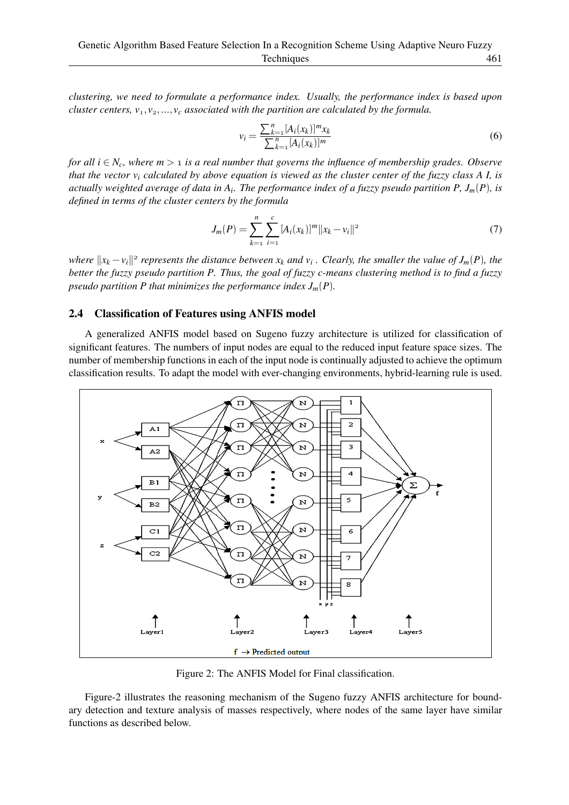*clustering, we need to formulate a performance index. Usually, the performance index is based upon cluster centers,*  $v_1, v_2, \ldots, v_c$  *associated with the partition are calculated by the formula.* 

$$
v_i = \frac{\sum_{k=1}^{n} [A_i(x_k)]^m x_k}{\sum_{k=1}^{n} [A_i(x_k)]^m}
$$
(6)

*for all i ∈ Nc, where m > 1 is a real number that governs the influence of membership grades. Observe that the vector v<sup>i</sup> calculated by above equation is viewed as the cluster center of the fuzzy class A I, is actually weighted average of data in A<sup>i</sup> . The performance index of a fuzzy pseudo partition P, Jm*(*P*)*, is defined in terms of the cluster centers by the formula*

$$
J_m(P) = \sum_{k=1}^n \sum_{i=1}^c [A_i(x_k)]^m ||x_k - v_i||^2
$$
\n(7)

*where*  $||x_k - v_i||^2$  represents the distance between  $x_k$  and  $v_i$ . Clearly, the smaller the value of  $J_m(P)$ , the *better the fuzzy pseudo partition P. Thus, the goal of fuzzy c-means clustering method is to find a fuzzy pseudo partition P that minimizes the performance index*  $J_m(P)$ *.* 

#### 2.4 Classification of Features using ANFIS model

A generalized ANFIS model based on Sugeno fuzzy architecture is utilized for classification of significant features. The numbers of input nodes are equal to the reduced input feature space sizes. The number of membership functions in each of the input node is continually adjusted to achieve the optimum classification results. To adapt the model with ever-changing environments, hybrid-learning rule is used.



Figure 2: The ANFIS Model for Final classification.

Figure-2 illustrates the reasoning mechanism of the Sugeno fuzzy ANFIS architecture for boundary detection and texture analysis of masses respectively, where nodes of the same layer have similar functions as described below.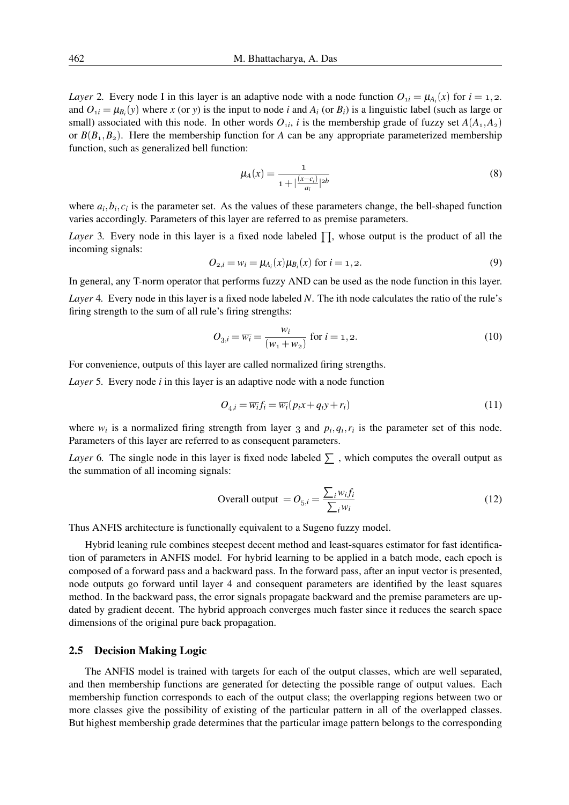*Layer* 2. Every node I in this layer is an adaptive node with a node function  $O_{1i} = \mu_{A_i}(x)$  for  $i = 1, 2$ . and  $O_{1i} = \mu_{B_i}(y)$  where *x* (or *y*) is the input to node *i* and  $A_i$  (or  $B_i$ ) is a linguistic label (such as large or small) associated with this node. In other words  $O_{1i}$ , *i* is the membership grade of fuzzy set  $A(A_1, A_2)$ or  $B(B_1, B_2)$ . Here the membership function for *A* can be any appropriate parameterized membership function, such as generalized bell function:

$$
\mu_A(x) = \frac{1}{1 + |\frac{(x - c_i)}{a_i}|^{2b}} \tag{8}
$$

where  $a_i, b_i, c_i$  is the parameter set. As the values of these parameters change, the bell-shaped function varies accordingly. Parameters of this layer are referred to as premise parameters.

*Layer* 3. Every node in this layer is a fixed node labeled  $\prod$ , whose output is the product of all the incoming signals:

$$
O_{2,i} = w_i = \mu_{A_i}(x)\mu_{B_i}(x) \text{ for } i = 1, 2. \tag{9}
$$

In general, any T-norm operator that performs fuzzy AND can be used as the node function in this layer. *Layer* 4*.* Every node in this layer is a fixed node labeled *N*. The ith node calculates the ratio of the rule's firing strength to the sum of all rule's firing strengths:

$$
O_{3,i} = \overline{w_i} = \frac{w_i}{(w_1 + w_2)} \text{ for } i = 1, 2.
$$
 (10)

For convenience, outputs of this layer are called normalized firing strengths.

*Layer* 5*.* Every node *i* in this layer is an adaptive node with a node function

$$
O_{4,i} = \overline{w_i} f_i = \overline{w_i} (p_i x + q_i y + r_i)
$$
\n(11)

where  $w_i$  is a normalized firing strength from layer 3 and  $p_i, q_i, r_i$  is the parameter set of this node. Parameters of this layer are referred to as consequent parameters.

*Layer* 6. The single node in this layer is fixed node labeled  $\Sigma$ , which computes the overall output as the summation of all incoming signals:

Overall output 
$$
= O_{5,i} = \frac{\sum_{i} w_{i} f_{i}}{\sum_{i} w_{i}}
$$
 (12)

Thus ANFIS architecture is functionally equivalent to a Sugeno fuzzy model.

Hybrid leaning rule combines steepest decent method and least-squares estimator for fast identification of parameters in ANFIS model. For hybrid learning to be applied in a batch mode, each epoch is composed of a forward pass and a backward pass. In the forward pass, after an input vector is presented, node outputs go forward until layer 4 and consequent parameters are identified by the least squares method. In the backward pass, the error signals propagate backward and the premise parameters are updated by gradient decent. The hybrid approach converges much faster since it reduces the search space dimensions of the original pure back propagation.

#### 2.5 Decision Making Logic

The ANFIS model is trained with targets for each of the output classes, which are well separated, and then membership functions are generated for detecting the possible range of output values. Each membership function corresponds to each of the output class; the overlapping regions between two or more classes give the possibility of existing of the particular pattern in all of the overlapped classes. But highest membership grade determines that the particular image pattern belongs to the corresponding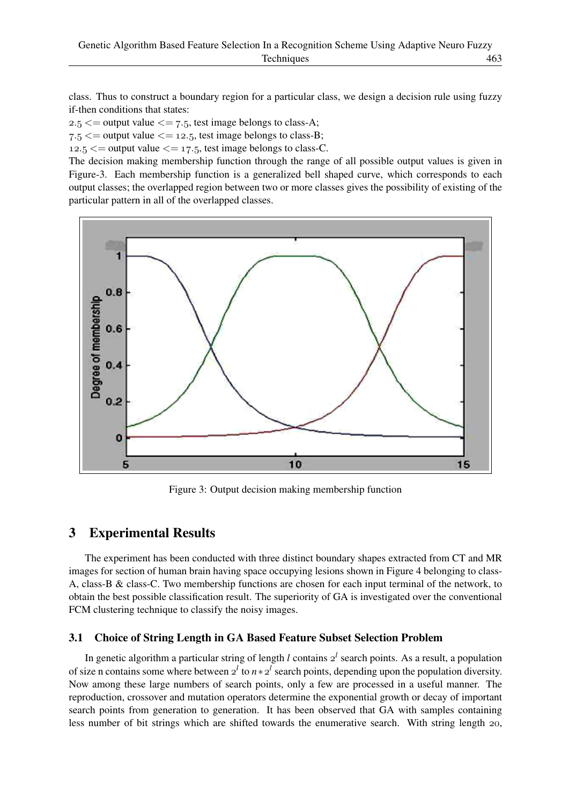class. Thus to construct a boundary region for a particular class, we design a decision rule using fuzzy if-then conditions that states:

*2.5 <*= output value *<*= *7.5*, test image belongs to class-A;

*7.5 <*= output value *<*= *12.5*, test image belongs to class-B;

*12.5 <*= output value *<*= *17.5*, test image belongs to class-C.

The decision making membership function through the range of all possible output values is given in Figure-3. Each membership function is a generalized bell shaped curve, which corresponds to each output classes; the overlapped region between two or more classes gives the possibility of existing of the particular pattern in all of the overlapped classes.



Figure 3: Output decision making membership function

## 3 Experimental Results

The experiment has been conducted with three distinct boundary shapes extracted from CT and MR images for section of human brain having space occupying lesions shown in Figure 4 belonging to class-A, class-B & class-C. Two membership functions are chosen for each input terminal of the network, to obtain the best possible classification result. The superiority of GA is investigated over the conventional FCM clustering technique to classify the noisy images.

### 3.1 Choice of String Length in GA Based Feature Subset Selection Problem

In genetic algorithm a particular string of length  $l$  contains  $2^l$  search points. As a result, a population of size n contains some where between  $2^l$  to  $n * 2^l$  search points, depending upon the population diversity. Now among these large numbers of search points, only a few are processed in a useful manner. The reproduction, crossover and mutation operators determine the exponential growth or decay of important search points from generation to generation. It has been observed that GA with samples containing less number of bit strings which are shifted towards the enumerative search. With string length *20*,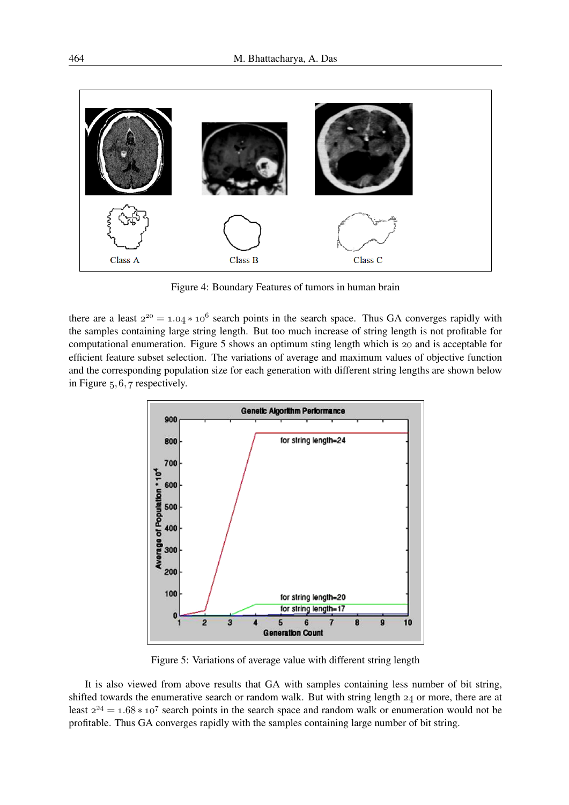

Figure 4: Boundary Features of tumors in human brain

there are a least  $2^{20} = 1.04 * 10^6$  search points in the search space. Thus GA converges rapidly with the samples containing large string length. But too much increase of string length is not profitable for computational enumeration. Figure 5 shows an optimum sting length which is *20* and is acceptable for efficient feature subset selection. The variations of average and maximum values of objective function and the corresponding population size for each generation with different string lengths are shown below in Figure *5, 6, 7* respectively.



Figure 5: Variations of average value with different string length

It is also viewed from above results that GA with samples containing less number of bit string, shifted towards the enumerative search or random walk. But with string length *24* or more, there are at least *2 <sup>24</sup>* <sup>=</sup> *1.68 <sup>∗</sup> <sup>10</sup><sup>7</sup>* search points in the search space and random walk or enumeration would not be profitable. Thus GA converges rapidly with the samples containing large number of bit string.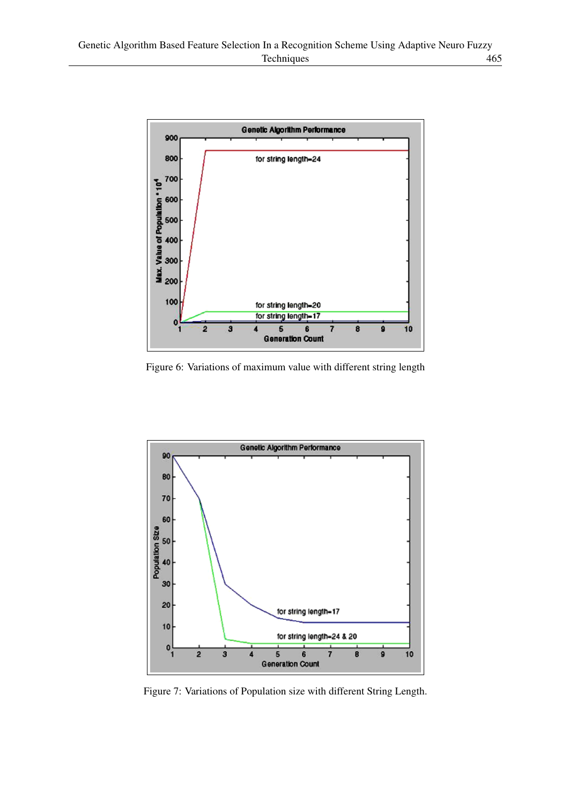

Figure 6: Variations of maximum value with different string length



Figure 7: Variations of Population size with different String Length.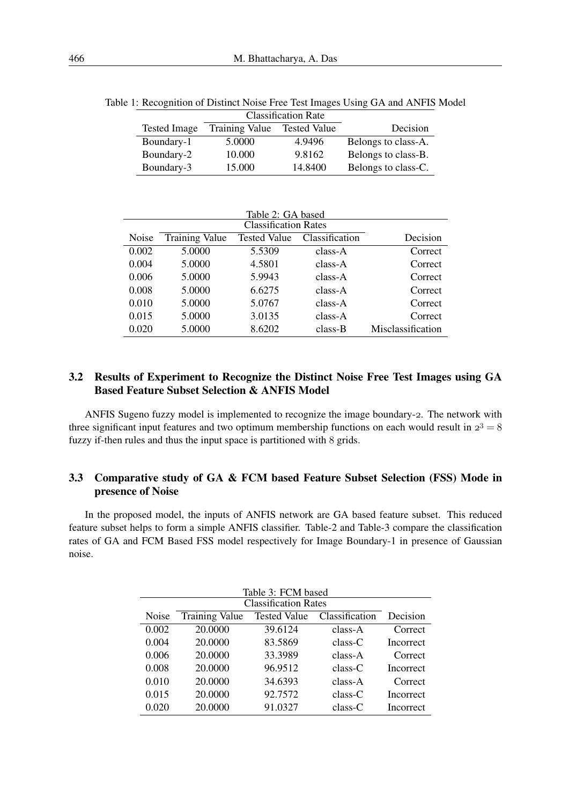| <b>Tested Image</b> | <b>Training Value</b> | <b>Tested Value</b> | Decision            |
|---------------------|-----------------------|---------------------|---------------------|
| Boundary-1          | 5.0000                | 4.9496              | Belongs to class-A. |
| Boundary-2          | 10.000                | 9.8162              | Belongs to class-B. |
| Boundary-3          | 15.000                | 14.8400             | Belongs to class-C. |

Table 1: Recognition of Distinct Noise Free Test Images Using GA and ANFIS Model

Table 2: GA based Classification Rates Noise Training Value Tested Value Classification Decision 0.002 5.0000 5.5309 class-A Correct 0.004 5.0000 4.5801 class-A Correct 0.006 5.0000 5.9943 class-A Correct 0.008 5.0000 6.6275 class-A Correct 0.010 5.0000 5.0767 class-A Correct 0.015 5.0000 3.0135 class-A Correct 0.020 5.0000 8.6202 class-B Misclassification

## 3.2 Results of Experiment to Recognize the Distinct Noise Free Test Images using GA Based Feature Subset Selection & ANFIS Model

ANFIS Sugeno fuzzy model is implemented to recognize the image boundary-*2*. The network with three significant input features and two optimum membership functions on each would result in  $2<sup>3</sup> = 8$ fuzzy if-then rules and thus the input space is partitioned with *8* grids.

## 3.3 Comparative study of GA & FCM based Feature Subset Selection (FSS) Mode in presence of Noise

In the proposed model, the inputs of ANFIS network are GA based feature subset. This reduced feature subset helps to form a simple ANFIS classifier. Table-2 and Table-3 compare the classification rates of GA and FCM Based FSS model respectively for Image Boundary-1 in presence of Gaussian noise.

| Table 3: FCM based |                       |                     |                |           |  |  |
|--------------------|-----------------------|---------------------|----------------|-----------|--|--|
|                    |                       |                     |                |           |  |  |
| Noise              | <b>Training Value</b> | <b>Tested Value</b> | Classification | Decision  |  |  |
| 0.002              | 20.0000               | 39.6124             | class-A        | Correct   |  |  |
| 0.004              | 20.0000               | 83.5869             | $class-C$      | Incorrect |  |  |
| 0.006              | 20.0000               | 33.3989             | class-A        | Correct   |  |  |
| 0.008              | 20.0000               | 96.9512             | $class-C$      | Incorrect |  |  |
| 0.010              | 20.0000               | 34.6393             | class-A        | Correct   |  |  |
| 0.015              | 20.0000               | 92.7572             | $class-C$      | Incorrect |  |  |
| 0.020              | 20.0000               | 91.0327             | class-C        | Incorrect |  |  |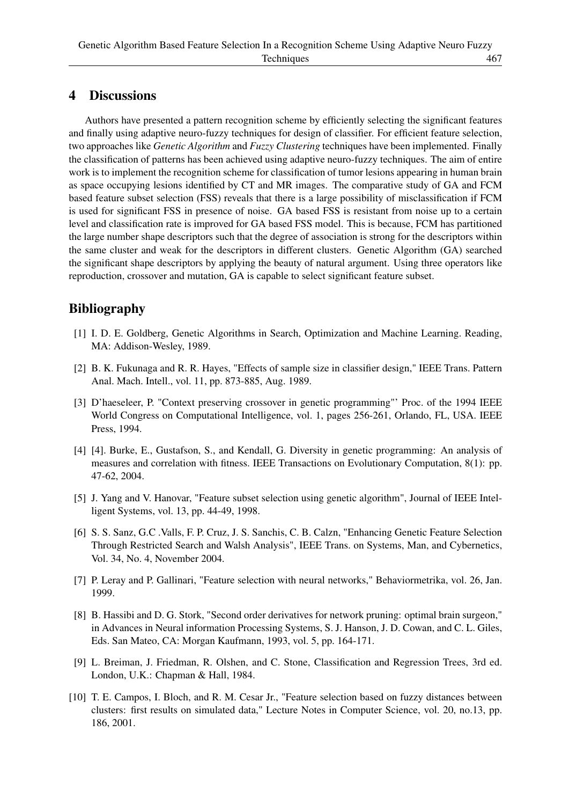## 4 Discussions

Authors have presented a pattern recognition scheme by efficiently selecting the significant features and finally using adaptive neuro-fuzzy techniques for design of classifier. For efficient feature selection, two approaches like *Genetic Algorithm* and *Fuzzy Clustering* techniques have been implemented. Finally the classification of patterns has been achieved using adaptive neuro-fuzzy techniques. The aim of entire work is to implement the recognition scheme for classification of tumor lesions appearing in human brain as space occupying lesions identified by CT and MR images. The comparative study of GA and FCM based feature subset selection (FSS) reveals that there is a large possibility of misclassification if FCM is used for significant FSS in presence of noise. GA based FSS is resistant from noise up to a certain level and classification rate is improved for GA based FSS model. This is because, FCM has partitioned the large number shape descriptors such that the degree of association is strong for the descriptors within the same cluster and weak for the descriptors in different clusters. Genetic Algorithm (GA) searched the significant shape descriptors by applying the beauty of natural argument. Using three operators like reproduction, crossover and mutation, GA is capable to select significant feature subset.

# Bibliography

- [1] I. D. E. Goldberg, Genetic Algorithms in Search, Optimization and Machine Learning. Reading, MA: Addison-Wesley, 1989.
- [2] B. K. Fukunaga and R. R. Hayes, "Effects of sample size in classifier design," IEEE Trans. Pattern Anal. Mach. Intell., vol. 11, pp. 873-885, Aug. 1989.
- [3] D'haeseleer, P. "Context preserving crossover in genetic programming"' Proc. of the 1994 IEEE World Congress on Computational Intelligence, vol. 1, pages 256-261, Orlando, FL, USA. IEEE Press, 1994.
- [4] [4]. Burke, E., Gustafson, S., and Kendall, G. Diversity in genetic programming: An analysis of measures and correlation with fitness. IEEE Transactions on Evolutionary Computation, 8(1): pp. 47-62, 2004.
- [5] J. Yang and V. Hanovar, "Feature subset selection using genetic algorithm", Journal of IEEE Intelligent Systems, vol. 13, pp. 44-49, 1998.
- [6] S. S. Sanz, G.C .Valls, F. P. Cruz, J. S. Sanchis, C. B. Calzn, "Enhancing Genetic Feature Selection Through Restricted Search and Walsh Analysis", IEEE Trans. on Systems, Man, and Cybernetics, Vol. 34, No. 4, November 2004.
- [7] P. Leray and P. Gallinari, "Feature selection with neural networks," Behaviormetrika, vol. 26, Jan. 1999.
- [8] B. Hassibi and D. G. Stork, "Second order derivatives for network pruning: optimal brain surgeon," in Advances in Neural information Processing Systems, S. J. Hanson, J. D. Cowan, and C. L. Giles, Eds. San Mateo, CA: Morgan Kaufmann, 1993, vol. 5, pp. 164-171.
- [9] L. Breiman, J. Friedman, R. Olshen, and C. Stone, Classification and Regression Trees, 3rd ed. London, U.K.: Chapman & Hall, 1984.
- [10] T. E. Campos, I. Bloch, and R. M. Cesar Jr., "Feature selection based on fuzzy distances between clusters: first results on simulated data," Lecture Notes in Computer Science, vol. 20, no.13, pp. 186, 2001.